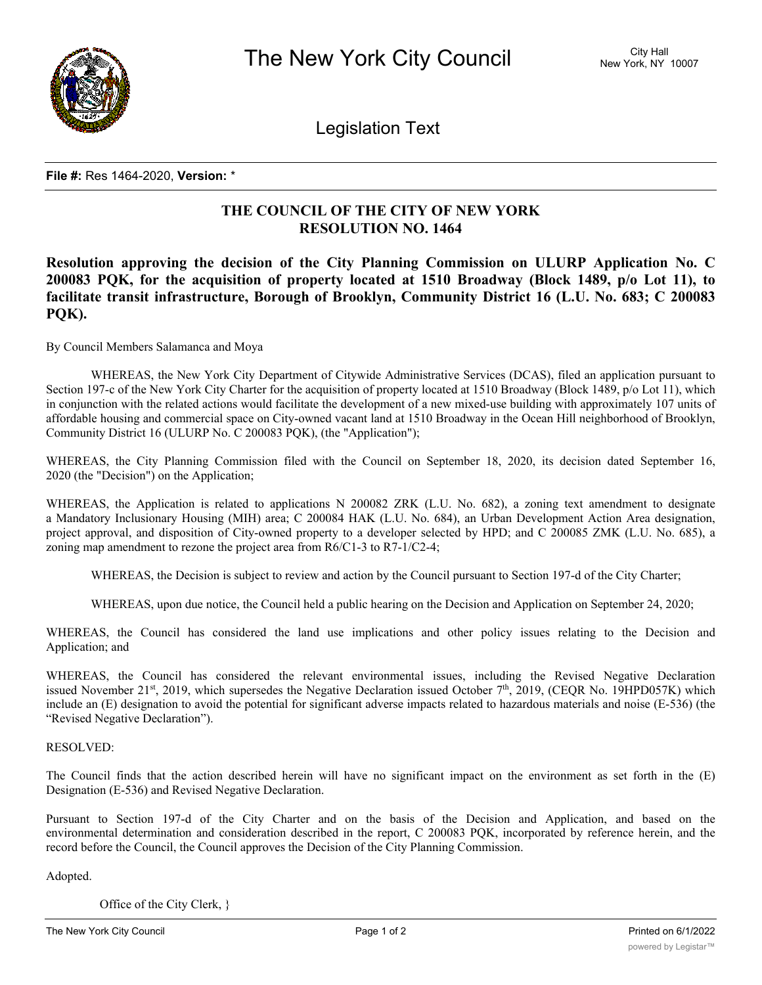

Legislation Text

## **File #:** Res 1464-2020, **Version:** \*

## **THE COUNCIL OF THE CITY OF NEW YORK RESOLUTION NO. 1464**

**Resolution approving the decision of the City Planning Commission on ULURP Application No. C 200083 PQK, for the acquisition of property located at 1510 Broadway (Block 1489, p/o Lot 11), to facilitate transit infrastructure, Borough of Brooklyn, Community District 16 (L.U. No. 683; C 200083 PQK).**

By Council Members Salamanca and Moya

WHEREAS, the New York City Department of Citywide Administrative Services (DCAS), filed an application pursuant to Section 197-c of the New York City Charter for the acquisition of property located at 1510 Broadway (Block 1489, p/o Lot 11), which in conjunction with the related actions would facilitate the development of a new mixed-use building with approximately 107 units of affordable housing and commercial space on City-owned vacant land at 1510 Broadway in the Ocean Hill neighborhood of Brooklyn, Community District 16 (ULURP No. C 200083 PQK), (the "Application");

WHEREAS, the City Planning Commission filed with the Council on September 18, 2020, its decision dated September 16, 2020 (the "Decision") on the Application;

WHEREAS, the Application is related to applications N 200082 ZRK (L.U. No. 682), a zoning text amendment to designate a Mandatory Inclusionary Housing (MIH) area; C 200084 HAK (L.U. No. 684), an Urban Development Action Area designation, project approval, and disposition of City-owned property to a developer selected by HPD; and C 200085 ZMK (L.U. No. 685), a zoning map amendment to rezone the project area from R6/C1-3 to R7-1/C2-4;

WHEREAS, the Decision is subject to review and action by the Council pursuant to Section 197-d of the City Charter;

WHEREAS, upon due notice, the Council held a public hearing on the Decision and Application on September 24, 2020;

WHEREAS, the Council has considered the land use implications and other policy issues relating to the Decision and Application; and

WHEREAS, the Council has considered the relevant environmental issues, including the Revised Negative Declaration issued November 21st, 2019, which supersedes the Negative Declaration issued October 7<sup>th</sup>, 2019, (CEQR No. 19HPD057K) which include an (E) designation to avoid the potential for significant adverse impacts related to hazardous materials and noise (E-536) (the "Revised Negative Declaration").

## RESOLVED:

The Council finds that the action described herein will have no significant impact on the environment as set forth in the (E) Designation (E-536) and Revised Negative Declaration.

Pursuant to Section 197-d of the City Charter and on the basis of the Decision and Application, and based on the environmental determination and consideration described in the report, C 200083 PQK, incorporated by reference herein, and the record before the Council, the Council approves the Decision of the City Planning Commission.

Adopted.

Office of the City Clerk, }